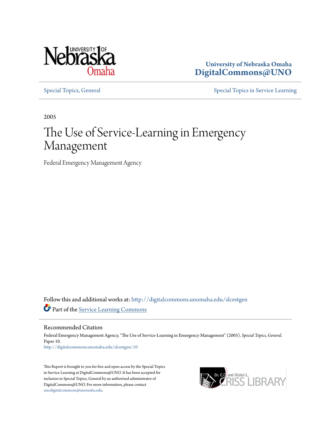

**University of Nebraska Omaha [DigitalCommons@UNO](http://digitalcommons.unomaha.edu?utm_source=digitalcommons.unomaha.edu%2Fslcestgen%2F10&utm_medium=PDF&utm_campaign=PDFCoverPages)**

[Special Topics, General](http://digitalcommons.unomaha.edu/slcestgen?utm_source=digitalcommons.unomaha.edu%2Fslcestgen%2F10&utm_medium=PDF&utm_campaign=PDFCoverPages) [Special Topics in Service Learning](http://digitalcommons.unomaha.edu/slcespecialtopics?utm_source=digitalcommons.unomaha.edu%2Fslcestgen%2F10&utm_medium=PDF&utm_campaign=PDFCoverPages)

2005

# The Use of Service-Learning in Emergency Management

Federal Emergency Management Agency

Follow this and additional works at: [http://digitalcommons.unomaha.edu/slcestgen](http://digitalcommons.unomaha.edu/slcestgen?utm_source=digitalcommons.unomaha.edu%2Fslcestgen%2F10&utm_medium=PDF&utm_campaign=PDFCoverPages) Part of the [Service Learning Commons](http://network.bepress.com/hgg/discipline/1024?utm_source=digitalcommons.unomaha.edu%2Fslcestgen%2F10&utm_medium=PDF&utm_campaign=PDFCoverPages)

Recommended Citation

Federal Emergency Management Agency, "The Use of Service-Learning in Emergency Management" (2005). *Special Topics, General.* Paper 10. [http://digitalcommons.unomaha.edu/slcestgen/10](http://digitalcommons.unomaha.edu/slcestgen/10?utm_source=digitalcommons.unomaha.edu%2Fslcestgen%2F10&utm_medium=PDF&utm_campaign=PDFCoverPages)

This Report is brought to you for free and open access by the Special Topics in Service Learning at DigitalCommons@UNO. It has been accepted for inclusion in Special Topics, General by an authorized administrator of DigitalCommons@UNO. For more information, please contact [unodigitalcommons@unomaha.edu](mailto:unodigitalcommons@unomaha.edu).

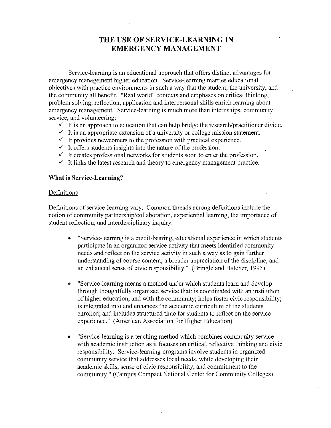# **THE USE OF SERVICE-LEARNING IN EMERGENCY MANAGEMENT**

Service-learning is an educational approach that offers distinct advantages for emergency management higher education. Service-learning marries educational objectives with practice environments in such a way that the student, the university, and the community all benefit. "Real world" contexts and emphases on critical thinking, problem solving, reflection, application and interpersonal skills enrich learning about emergency management. Service-learning is much more than internships, community service, and volunteering:

- $\checkmark$  It is an approach to education that can help bridge the research/practitioner divide.
- $\checkmark$  It is an appropriate extension of a university or college mission statement.
- $\checkmark$  It provides new comers to the profession with practical experience.
- $\checkmark$  It offers students insights into the nature of the profession.
- $\checkmark$  It creates professional networks for students soon to enter the profession.
- $\checkmark$  It links the latest research and theory to emergency management practice.

## **What is Service-Learning?**

#### Definitions

Definitions of service-learning vary. Common threads among definitions include the notion of community partnership/collaboration, experiential learning, the importance of student reflection, and interdisciplinary inquiry.

- "Service-learning is a credit-bearing, educational experience in which students participate in an organized service activity that meets identified community needs and reflect on the service activity in such a way as to gain further understanding of course content, a broader appreciation of the discipline, and an enhanced sense of civic responsibility." (Bringle and Hatcher, 1995)
- "Service-learning means a method under which students learn and develop through thoughtfully organized service that: is coordinated with an institution of higher education, and with the community; helps foster civic responsibility; is integrated into and enhances the academic curriculum of the students enrolled; and includes structured time for students to reflect on the service experience." (American Association for Higher Education)
- "Service-learning is a teaching method which combines community service with academic instruction as it focuses on critical, reflective thinking and civic responsibility. Service-learning programs involve students in organized community service that addresses local needs, while developing their academic skills, sense of civic responsibility, and commitment to the community." (Campus Compact National Center for Community Colleges)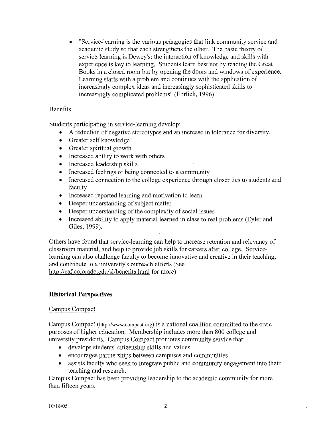• "Service-learning is the various pedagogics that link community service and academic study so that each strengthens the other. The basic theory of service-learning is Dewey's: the interaction of knowledge and skills with experience is key to learning. Students learn best not by reading the Great Books in a closed room but by opening the doors and windows of experience. Learning starts with a problem and continues with the application of increasingly complex ideas and increasingly sophisticated skills to increasingly complicated problems" (Ehrlich, 1996).

# Benefits

Students participating in service-learning develop:

- A reduction of negative stereotypes and an increase in tolerance for diversity.
- Greater self knowledge
- Greater spiritual growth
- Increased ability to work with others
- Increased leadership skills
- Increased feelings of being connected to a community
- Increased connection to the college experience through closer ties to students and faculty
- Increased reported learning and motivation to learn
- Deeper understanding of subject matter
- Deeper understanding of the complexity of social issues
- Increased ability to apply material learned in class to real problems (Eyler and Giles, 1999).

Others have found that service-learning can help to increase retention and relevancy of classroom material, and help to provide job skills for careers after college. Servicelearning can also challenge faculty to become innovative and creative in their teaching, and contribute to a university's outreach efforts (See http://csf.colorado.edu/sl/benefits.html for more).

## **Historical Perspectives**

## Campus Compact

Campus Compact (http://www.compact.org) is a national coalition committed to the civic purposes of higher education. Membership includes more than 800 college and university presidents. Campus Compact promotes community service that:

- develops students' citizenship skills and values
- encourages partnerships between campuses and communities
- assists faculty who seek to integrate public and community engagement into their teaching and research.

Campus Compact has been providing leadership to the academic community for more than fifteen years.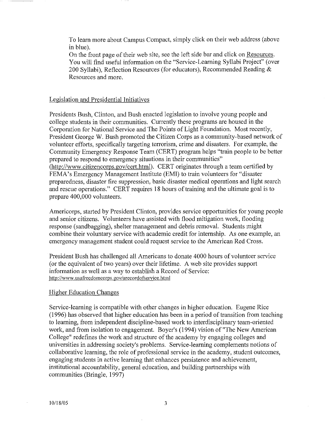To learn more about Campus Compact, simply click on their web address (above in blue).

On the front page of their web site, see the left side bar and click on Resources. You will find useful infonnation on the "Service-Learning Syllabi Project" (over 200 Syllabi), Reflection Resources (for educators), Recommended Reading & Resources and more.

## Legislation and Presidential Initiatives

Presidents Bush, Clinton, and Bush enacted legislation to involve young people and college students in their communities. Currently these programs are housed in the Corporation for National Service and The Points of Light Foundation. Most recently, President George W. Bush promoted the Citizen Corps as a community-based network of volunteer efforts, specifically targeting terrorism, crime and disasters. For example, the Community Emergency Response Team (CERT) program helps "train people to be better prepared to respond to emergency situations in their communities"  $(\text{http://www.citizencorps.gov/cert.html}).$  CERT originates through a team certified by FEMA's Emergency Management Institute (EMI) to train volunteers for "disaster preparedness, disaster fire suppression, basic disaster medical operations and light search and rescue operations." CERT requires 18 hours of training and the ultimate goal is to prepare 400,000 volunteers.

Americorps, started by President Clinton, provides service opportunities for young people and senior citizens. Volunteers have assisted with flood mitigation work, f1ooding response (sandbagging), shelter management and debris removal. Students might combine their voluntary service with academic credit for internship. As one example, an emergency management student could request service to the American Red Cross.

President Bush has challenged all Americans to donate 4000 hours of volunteer service (or the equivalent of two years) over their lifetime. A web site provides support information as well as a way to establish a Record of Service: http://www .usafreedomcorps. gov /arecordofservice.html

# Higher Education Changes

Service-learning is compatible with other changes in higher education. Eugene Rice (1996) has observed that higher education has been in a period of transition from teaching to learning, from independent discipline-based work to interdisciplinary team-oriented work, and from isolation to engagement. Boyer's (1994) vision of"The New American College" redefines the work and structure of the academy by engaging colleges and universities in addressing society's problems. Service-learning complements notions of collaborative learning, the role of professional service in the academy, student outcomes, engaging students in active learning that enhances persistence and achievement, institutional accountability, general education, and building partnerships with communities (Bringle, 1997)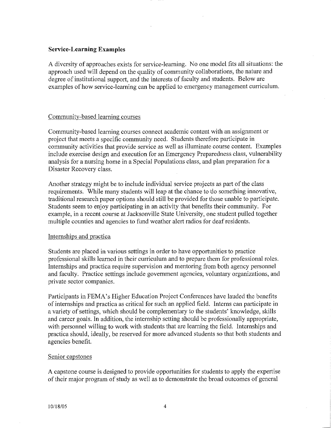# **Service-Learning Examples**

A diversity of approaches exists for service-learning. No one model fits all situations: the approach used will depend on the quality of community collaborations, the nature and degree of institutional support, and the interests of faculty and students. Below are examples of how service-learning can be applied to emergency management curriculum.

# Community-based learning courses

Community-based learning courses connect academic content with an assignment or project that meets a specific community need. Students therefore participate in community activities that provide service as well as illuminate course content. Examples include exercise design and execution for an Emergency Preparedness class, vulnerability analysis for a nursing home in a Special Populations class, and plan preparation for a Disaster Recovery class.

Another strategy might be to include individual service projects as part of the class requirements. While many students will leap at the chance to do something innovative, traditional research paper options should still be provided for those unable to participate. Students seem to enjoy participating in an activity that benefits their community. For example, in a recent course at Jacksonville State University, one student pulled together multiple counties and agencies to fund weather alert radios for deaf residents.

# Internships and practica

Students are placed in various settings in order to have opportunities to practice professional skills learned in their curriculum and to prepare them for professional roles. Internships and practica require supervision and mentoring from both agency personnel and faculty. Practice settings include government agencies, voluntary organizations, and private sector companies.

Participants in FEMA's Higher Education Project Conferences have lauded the benefits of internships and practica as critical for such an applied field. Interns can participate in a variety of settings, which should be complementary to the students' knowledge, skills and career goals. In addition, the internship setting should be professionally appropriate, with personnel willing to work with students that are learning the field. Internships and practica should, ideally, be reserved for more advanced students so that both students and agencies benefit.

# Senior capstones

A capstone course is designed to provide opportunities for students to apply the expertise of their major program of study as well as to demonstrate the broad outcomes of general

 $\overline{a}$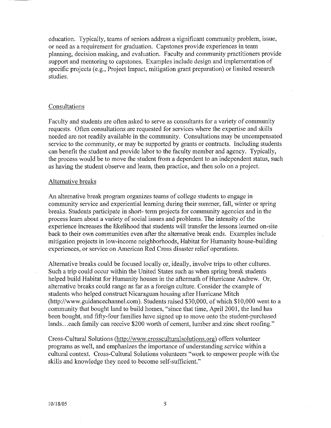education. Typically, teams of seniors address a significant community problem, issue, or need as a requirement for graduation. Capstones provide experiences in team planning, decision making, and evaluation. Faculty and community practitioners provide support and mentoring to capstones. Examples include design and implementation of specific projects (e.g., Project Impact, mitigation grant preparation) or limited research studies.

## Consultations

Faculty and students are often asked to serve as consultants for a variety of community requests. Often consultations are requested for services where the expertise and skills needed are not readily available in the community. Consultations may be uncompensated service to the community, or may be supported by grants or contracts. Including students can benefit the student and provide labor to the faculty member and agency. Typically, the process would be to move the student from a dependent to an independent status, such as having the student observe and learn, then practice, and then solo on a project.

## Alternative breaks

An alternative break program organizes teams of college students to engage in community service and experiential learning during their summer, fall, winter or spring breaks. Students participate in short- term projects for community agencies and in the process learn about a variety of social issues and problems. The intensity of the experience increases the likelihood that students will transfer the lessons learned on-site back to their own communities even after the alternative break ends. Examples include mitigation projects in low-income neighborhoods, Habitat for Humanity house-building experiences, or service on American Red Cross disaster relief operations.

Alternative breaks could be focused locally or, ideally, involve trips to other cultures. Such a trip could occur within the United States such as when spring break students helped build Habitat for Humanity houses in the aftermath of Hurricane Andrew. Or, alternative breaks could range as far as a foreign culture. Consider the example of students who helped construct Nicaraguan housing after Hurricane Mitch (http://www.guidancechannel.com). Students raised \$30,000, of which \$10,000 went to a community that bought land to build homes, "since that time, April 2001, the land has been bought, and fifty-four families have signed up to move onto the student-purchased lands... each family can receive \$200 worth of cement, lumber and zinc sheet roofing."

Cross-Cultural Solutions (http://www.crossculturalsolutions.org) offers volunteer programs as well, and emphasizes the importance of understanding service within a cultural context. Cross-Cultural Solutions volunteers "work to empower people with the skills and knowledge they need to become self-sufficient."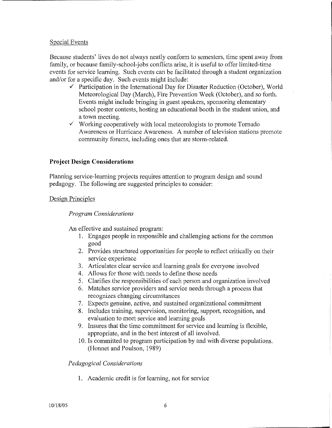# Special Events

Because students' lives do not always neatly conform to semesters, time spent away from family, or because family-school-jobs conflicts arise, it is useful to offer limited-time events for service learning. Such events can be facilitated through a student organization and/or for a specific day. Such events might include:

- $\checkmark$  Participation in the International Day for Disaster Reduction (October), World Meteorological Day (March), Fire Prevention Week (October), and so forth. Events might include bringing in guest speakers, sponsoring elementary school poster contests, hosting an educational booth in the student union, and a town meeting .
- $\checkmark$  Working cooperatively with local meteorologists to promote Tornado Awareness or Hurricane Awareness. A number of television stations promote community forums, including ones that are storm-related.

# **Project Design Considerations**

Planning service-learning projects requires attention to program design and sound pedagogy. The following are suggested principles to consider:

## Design Principles

## *Program Considerations*

An effective and sustained program:

- 1. Engages people in responsible and challenging actions for the common good
- 2. Provides structured opportunities for people to reflect critically on their service experience
- 3. Articulates clear service and learning goals for everyone involved
- 4. Allows for those with needs to define those needs
- 5. Clarifies the responsibilities of each person and organization involved
- 6. Matches service providers and service needs through a process that recognizes changing circumstances
- 7. Expects genuine, active, and sustained organizational commitment
- 8. Includes training, supervision, monitoring, support, recognition, and evaluation to meet service and learning goals
- 9. Insures that the time commitment for service and learning is flexible. appropriate, and in the best interest of all involved.
- 10. Is committed to program participation by and with diverse populations. (Honnet and Poulson, 1989)

## *Pedagogical Considerations*

I. Academic credit is for learning, not for service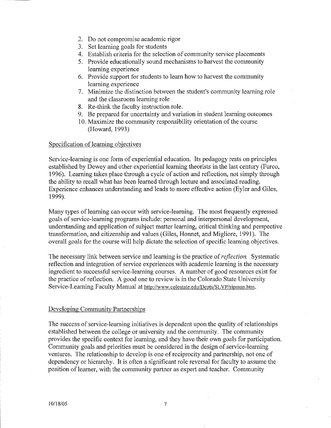- 2. Do not compromise academic rigor
- 3. Set learning goals for students
- 4. Establish criteria for the selection of community service placements
- 5. Provide educationally sound mechanisms to harvest the community learning experience
- 6. Provide support for students to learn how to harvest the community learning experience
- 7. Minimize the distinction between the student's community learning role and the classroom learning role
- 8. Re-think the faculty instruction role.
- 9. Be prepared for uncertainty and variation in stndent learning outcomes
- 10. Maximize the community responsibility orientation of the course (Howard, 1993)

#### Specification of learning objectives

Service-learning is one form of experiential education. Its pedagogy rests on principles established by Dewey and other experiential learning theorists in the last century (Furco, 1996). Learning takes place through a cycle of action and reflection, not simply through the ability to recall what has been learned through lecture and associated reading. Experience enhances understanding and leads to more effective action (Eyler and Giles, 1999).

Many types of learning can occur with service-learning. The most frequently expressed goals of service-learning programs include: personal and interpersonal development, understanding and application of subject matter learning, critical thinking and perspective transformation, and citizenship and values (Giles, Honnet, and Migliore, 1991). The overall goals for the course will help dictate the selection of specific learning objectives.

The necessary link between service and learning is the practice of *reflection.* Systematic reflection and integration of service experiences with academic learning is the necessary ingredient to successful service-learning courses. A number of good resources exist for the practice of reflection. A good one to review is in the Colorado State University Service-Learning Faculty Manual at http://www.colostate.edu/Depts/SLVP/sipman.htm.

#### Developing Community Partnerships

The success of service-learning initiatives is dependent upon the quality of relationships established between the college or university and the community. The community provides the specific context for learning, and they have their own goals for participation. Community goals and priorities must be considered in the design of service-learning ventures. The relationship to develop is one of reciprocity and partnership, not one of dependency or hierarchy. It is often a significant role reversal for faculty to assume the position of learner, with the community partner as expert and teacher. Community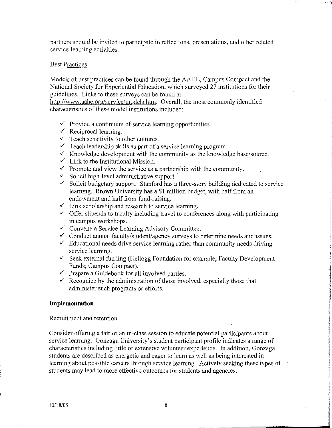partners should be invited to participate in reflections, presentations, and other related service-learning activities.

## Best Practices

Models of best practices can be found through the AAHE, Campus Compact and the National Society for Experiential Education, which surveyed 27 institutions for their guidelines. Links to these surveys can be found at

http://www.aahe.org/service/models.htm. Overall, the most commonly identified characteristics of these model institutions included:

- $\checkmark$  Provide a continuum of service learning opportunities
- $\checkmark$  Reciprocal learning.
- $\checkmark$  Teach sensitivity to other cultures.
- $\checkmark$  Teach leadership skills as part of a service learning program.
- $\checkmark$  Knowledge development with the community as the knowledge base/source.
- $\checkmark$  Link to the Institutional Mission.
- $\checkmark$  Promote and view the service as a partnership with the community.
- $\checkmark$  Solicit high-level administrative support.
- $\checkmark$  Solicit budgetary support. Stanford has a three-story building dedicated to service learning. Brown University has a \$1 million budget, with half from an endowment and half from fund-raising.
- $\checkmark$  Link scholarship and research to service learning.
- $\checkmark$  Offer stipends to faculty including travel to conferences along with participating in campus workshops.
- $\checkmark$  Convene a Service Learning Advisory Committee.
- $\checkmark$  Conduct annual faculty/student/agency surveys to determine needs and issues.
- $\checkmark$  Educational needs drive service learning rather than community needs driving service learning.
- $\checkmark$  Seek external funding (Kellogg Foundation for example; Faculty Development Funds; Campus Compact).
- $\checkmark$  Prepare a Guidebook for all involved parties.
- $\checkmark$  Recognize by the administration of those involved, especially those that administer such programs or efforts.

#### **Implementation**

#### Recruitment and retention

Consider offering a fair or an in-class session to educate potential participants about service learning. Gonzaga University's student participant profile indicates a range of characteristics including little or extensive volunteer experience. In addition, Gonzaga students are described as energetic and eager to Jearn as well as being interested in learning about possible careers through service learning. Actively seeking these types of students may lead to more effective outcomes for students and agencies.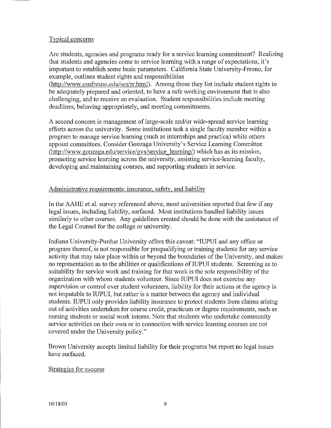## Typical concerns

Are students, agencies and programs ready for a service learning commitment? Realizing that students and agencies come to service learning with a range of expectations, it's important to establish some basic parameters. California State University-Fresno, for example, outlines student rights and responsibilities (http://www.csufresno.edu/scs/rr.html). Among those they list include student rights to

be adequately prepared and oriented, to have a safe working environment that is also challenging, and to receive an evaluation. Student responsibilities include meeting deadlines, behaving appropriately, and meeting commitments.

A second concern is management of large-scale and/or wide-spread service leaming efforts across the university. Some institutions task a single faculty member within a program to manage service learning (such as internships and practica) while others appoint committees. Consider Gonzaga University's Service Learning Committee (http://www.gonzaga.edu/service/gvs/service learning/) which has as its mission, promoting service learning across the university, assisting service-learning faculty, developing and maintaining courses, and supporting students in service.

# Administrative requirements: insurance, safety, and liability

In the AAHE et al. survey referenced above, most universities reported that few if any legal issues, including liability, surfaced. Most institutions handled liability issues similarly to other courses. Any guidelines created should be done with the assistance of the Legal Counsel for the college or university.

Indiana University-Purdue University offers this caveat: "IUPUI and any office or program thereof, is not responsible for prequalifying or training students for any service activity that may take place within or beyond the boundaries of the University, and makes no representation as to the abilities or qualifications of IUPUI students. Screening as to suitability for service work and training for that work is the sole responsibility of the organization with whom students volunteer. Since IUPUI does not exercise any supervision or control over student volunteers, liability for their actions at the agency is not imputable to IUPUI, but rather is a matter between the agency and individual students. IUPUI only provides liability insurance to protect students from claims arising out of activities undertaken for course credit, practicum or degree requirements, such as nursing students or social work interns. Note that students who undertake community service activities on their own or in connection with service learning courses are not covered under the University policy."

Brown University accepts limited liability for their programs but report no legal issues have surfaced.

## Strategies for success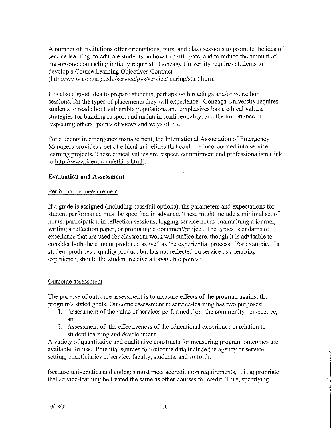A number of institutions offer orientations, fairs, and class sessions to promote the idea of service learning, to educate students on how to participate, and to reduce the amount of one-on-one counseling initially required. Gonzaga University requires students to develop a Course Learning Objectives Contract (http://www.gonzaga.edu/service/gvs/service/learing/start.htm).

It is also a good idea to prepare students, perhaps with readings and/or workshop sessions, for the types of placements they will experience. Gonzaga University requires students to read about vulnerable populations and emphasizes basic ethical values, strategies for building rapport and maintain confidentiality, and the importance of respecting others' points of views and ways of life.

For students in emergency management, the International Association of Emergency Managers provides a set of ethical guidelines that could be incorporated into service learning projects. These ethical values are respect, commitment and professionalism (link to http://www.iaem.com/ethics.html).

# **Evaluation and Assessment**

# Performance measurement

If a grade is assigned (including pass/fail options), the parameters and expectations for student performance must be specified in advance. These might include a minimal set of hours, participation in reflection sessions, logging service hours, maintaining a journal, writing a reflection paper, or producing a document/project. The typical standards of excellence that are used for classroom work will suffice here, though it is advisable to consider both the content produced as well as the experiential process. For example, if a student produces a quality product but has not reflected on service as a learning experience, should the student receive all available points?

# Outcome assessment

The purpose of outcome assessment is to measure effects of the program against the program's stated goals. Outcome assessment in service-learning has two purposes:

- I. Assessment of the value of services performed from the community perspective, and
- 2. Assessment of the effectiveness of the educational experience in relation to student learning and development.

A variety of quantitative and qualitative constructs for measuring program outcomes are available for use. Potential sources for outcome data include the agency or service setting, beneficiaries of service, faculty, students, and so forth.

Because universities and colleges must meet accreditation requirements, it is appropriate that service-learning be treated the same as other courses for credit. Thus, specifying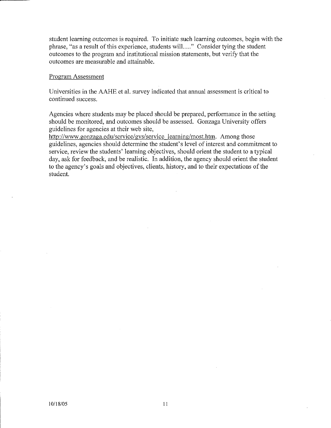student learning outcomes is required. To initiate such learning outcomes, begin with the phrase, "as a result of this experience, students will...." Consider tying the student outcomes to the program and institutional mission statements, but verify that the outcomes are measurable and attainable.

#### Program Assessment

Universities in the AAHE et a!. survey indicated that annual assessment is critical to continued success.

Agencies where students may be placed should be prepared, performance in the setting should be monitored, and outcomes should be assessed. Gonzaga University offers guidelines for agencies at their web site,

http://www.gonzaga.edu/service/gvs/service learning/most.htm. Among those guidelines, agencies should determine the student's level of interest and commitment to service, review the students' leaming objectives, should orient the student to a typical day, ask for feedback, and be realistic. In addition, the agency should orient the student to the agency's goals and objectives, clients, history, and to their expectations of the student.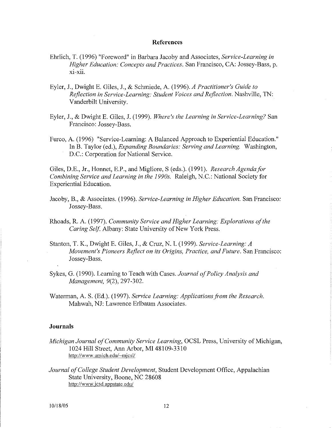#### **References**

- Ehrlich, T. (1996) "Foreword" in Barbara Jacoby and Associates, *Service-Learning in Higher Education: Concepts and Practices.* San Francisco, CA: Jossey-Bass, p. xi-xii.
- Eyler, J., Dwight E. Giles, J., & Schmiede, A. (1996). *A Practitioner's Guide to*  R~flection *in Service-Learning: Student Voices and Reflection.* Nashville, TN: Vanderbilt University.
- Eyler, J., & Dwight E. Giles, J. (1999). *Where's the Learning in Service-Learning?* San Francisco: Jossey-Bass.
- Furco, A. (1996) "Service-Learning: A Balanced Approach to Experiential Education." In B. Taylor (ed.), *Expanding Boundaries: Serving and Learning.* Washington, D.C.: Corporation for National Service.

Giles, D.E., Jr., Bonnet, E.P., and Migliore, S (eds.). (1991). *Research Agenda for Combining Service and Learning in the 1990s.* Raleigh, N.C.: National Society for Experiential Education.

- Jacoby, B., & Associates. (1996). *Service-Learning in Higher Education.* San Francisco: Jossey-Bass.
- Rhoads, R. A. (1997). *Community Service and Higher Learning: Explorations of the Caring Self.* Albany: State University of New York Press.
- Stanton, T. K., Dwight E. Giles, J., & Cruz, N. I. (1999). *Service-Learning: A Movement's Pioneers Reflect on its Origins, Practice, and Future. San Francisco:* Jossey-Bass.
- Sykes, G. (1990). Learning to Teach with Cases. *Journal of Policy Analysis and Management,* 9(2), 297-302.
- Waterman, A. S. (Ed.). (1997). *Service Learning: Applications from the Research.* Mahwah, NJ: Lawrence Erlbaum Associates.

#### **Journals**

- *Michigan Journal of Community Service Learning,* OCSL Press, University of Michigan, 1024 Hill Street, Ann Arbor, MI 48109-3310 http://www.umich.edu/~mjcsl/
- *Journal of College Student Development,* Student Development Office, Appalachian State University, Boone, NC 28608 http://www.jcsd.appstate.edu/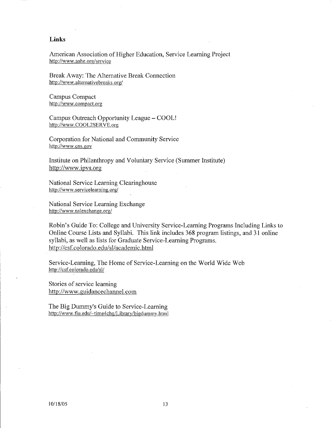#### **Links**

American Association of Higher Education, Service Learning Project http://www.aahe.org/service

Break Away: The Alternative Break Connection http://www.alternativebreaks.org/

Campus Compact **http://www.compact.org** 

Campus Outreach Opportunity League- COOL! http://www.COOL2SERVE.org

Corporation for National and Community Service http://www.cns.gov

Institute on Philanthropy and Voluntary Service (Summer Institute) http://www.ipvs.org

National Service Learning Clearinghouse **http://www .servicelearning.org/** 

National Service Learning Exchange http://www.nslexchange.org/

Robin's Guide To: College and University Service-Learning Programs Including Links to Online Course Lists and Syllabi. This link includes 368 program listings, and 31 online syllabi, as well as lists for Graduate Service-Learning Programs. http://csf.colorado.edu/sl/academic.html

Service-Learning, The Home of Service-Learning on the World Wide Web http://csf.colorado.edu/sl/

Stories of service learning http://www.guidancechannel.com

The Big Dummy's Guide to Service-Learning http://www.fiu.edu/~time4chg/Library/bigdummy.html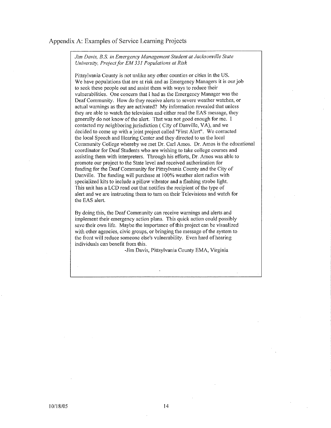#### Appendix A: Examples of Service Learning Projects

*Jim Davis, B.S. in Emergency Management Student at Jacksonville State University, Project for EM 331 Populations at Risk* 

Pittsylvania County is not unlike any other counties or cities in the US. We have populations that are at risk and as Emergency Managers it is our job to seek these people out and assist them with ways to reduce their vulnerabilities. One concern that I had as the Emergency Manager was the Deaf Community. How do they receive alerts to severe weather watches, or actual warnings as they are activated? My information revealed that unless they are able to watch the television and either read the EAS message, they generally do not know of the alert. That was not good enough for me. I contacted my neighboring jurisdiction ( City of Danville, VA), and we decided to come up with a joint project called "First Alert". We contacted the local Speech and Hearing Center and they directed to us the local Community College whereby we met Dr. Carl Amos. Dr. Amos is the educational coordinator for Deaf Students who are wishing to take college courses and assisting them with interpreters. Through his efforts, Dr. Amos was able to promote our project to the State level and received authorization for funding for the Deaf Community for Pittsylvania County and the City of Danville. The funding will purchase at 100% weather alert radios with specialized kits to include a pillow vibrator and a flashing strobe light. This unit has a LCD read out that notifies the recipient of the type of alert and we are instructing them to turn on their Televisions and watch for the EAS alert.

By doing this, the Deaf Community can receive warnings and alerts and implement their emergency action plans. This quick action could possibly save their own life. Maybe the importance of this project can be visualized **with other agencies, civic groups, or bringing the message of the system to**  the front will reduce someone else's vulnerability. Even hard of hearing individuals can benefit from this.

-Jim Davis, Pittsylvania County EMA, Virginia

.